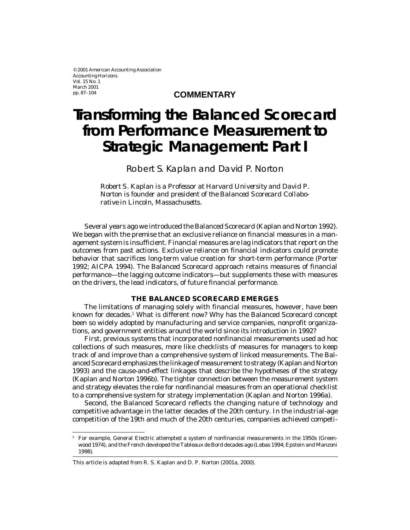© 2001 American Accounting Association *Accounting Horizons* Vol. 15 No. 1 March 2001 pp. 87–104

# **COMMENTARY**

# **Transforming the Balanced Scorecard from Performance Measurement to Strategic Management: Part I**

Robert S. Kaplan and David P. Norton

*Robert S. Kaplan is a Professor at Harvard University and David P. Norton is founder and president of the Balanced Scorecard Collaborative in Lincoln, Massachusetts.*

Several years ago we introduced the Balanced Scorecard (Kaplan and Norton 1992). We began with the premise that an exclusive reliance on financial measures in a management system is insufficient. Financial measures are lag indicators that report on the outcomes from past actions. Exclusive reliance on financial indicators could promote behavior that sacrifices long-term value creation for short-term performance (Porter 1992; AICPA 1994). The Balanced Scorecard approach retains measures of financial performance—the lagging outcome indicators—but supplements these with measures on the drivers, the lead indicators, of future financial performance.

# **THE BALANCED SCORECARD EMERGES**

The limitations of managing solely with financial measures, however, have been known for decades.1 What is different now? Why has the Balanced Scorecard concept been so widely adopted by manufacturing and service companies, nonprofit organizations, and government entities around the world since its introduction in 1992?

First, previous systems that incorporated nonfinancial measurements used *ad hoc* collections of such measures, more like checklists of measures for managers to keep track of and improve than a comprehensive system of linked measurements. The Balanced Scorecard emphasizes the linkage of measurement to strategy (Kaplan and Norton 1993) and the cause-and-effect linkages that describe the hypotheses of the strategy (Kaplan and Norton 1996b). The tighter connection between the measurement system and strategy elevates the role for nonfinancial measures from an operational checklist to a comprehensive system for strategy implementation (Kaplan and Norton 1996a).

Second, the Balanced Scorecard reflects the changing nature of technology and competitive advantage in the latter decades of the 20th century. In the industrial-age competition of the 19th and much of the 20th centuries, companies achieved competi-

<sup>1</sup> For example, General Electric attempted a system of nonfinancial measurements in the 1950s (Greenwood 1974), and the French developed the Tableaux de Bord decades ago (Lebas 1994; Epstein and Manzoni 1998).

This article is adapted from R. S. Kaplan and D. P. Norton (2001a, 2000).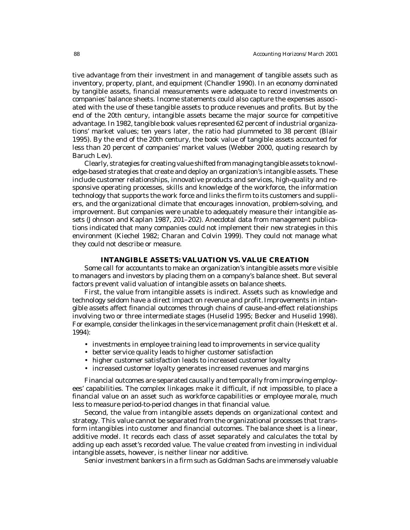tive advantage from their investment in and management of tangible assets such as inventory, property, plant, and equipment (Chandler 1990). In an economy dominated by tangible assets, financial measurements were adequate to record investments on companies' balance sheets. Income statements could also capture the expenses associated with the use of these tangible assets to produce revenues and profits. But by the end of the 20th century, intangible assets became the major source for competitive advantage. In 1982, tangible book values represented 62 percent of industrial organizations' market values; ten years later, the ratio had plummeted to 38 percent (Blair 1995). By the end of the 20th century, the book value of tangible assets accounted for less than 20 percent of companies' market values (Webber 2000, quoting research by Baruch Lev).

Clearly, strategies for creating value shifted from managing tangible assets to knowledge-based strategies that create and deploy an organization's intangible assets. These include customer relationships, innovative products and services, high-quality and responsive operating processes, skills and knowledge of the workforce, the information technology that supports the work force and links the firm to its customers and suppliers, and the organizational climate that encourages innovation, problem-solving, and improvement. But companies were unable to adequately measure their intangible assets (Johnson and Kaplan 1987, 201–202). Anecdotal data from management publications indicated that many companies could not implement their new strategies in this environment (Kiechel 1982; Charan and Colvin 1999). They could not manage what they could not describe or measure.

#### **INTANGIBLE ASSETS: VALUATION VS. VALUE CREATION**

Some call for accountants to make an organization's intangible assets more visible to managers and investors by placing them on a company's balance sheet. But several factors prevent valid valuation of intangible assets on balance sheets.

First, the value from intangible assets is indirect. Assets such as knowledge and technology seldom have a direct impact on revenue and profit. Improvements in intangible assets affect financial outcomes through chains of cause-and-effect relationships involving two or three intermediate stages (Huselid 1995; Becker and Huselid 1998). For example, consider the linkages in the service management profit chain (Heskett et al. 1994):

- investments in employee training lead to improvements in service quality
- better service quality leads to higher customer satisfaction
- higher customer satisfaction leads to increased customer loyalty
- increased customer loyalty generates increased revenues and margins

Financial outcomes are separated causally and temporally from improving employees' capabilities. The complex linkages make it difficult, if not impossible, to place a financial value on an asset such as workforce capabilities or employee morale, much less to measure period-to-period changes in that financial value.

Second, the value from intangible assets depends on organizational context and strategy. This value cannot be separated from the organizational processes that transform intangibles into customer and financial outcomes. The balance sheet is a linear, additive model. It records each class of asset separately and calculates the total by adding up each asset's recorded value. The value created from investing in individual intangible assets, however, is neither linear nor additive.

Senior investment bankers in a firm such as Goldman Sachs are immensely valuable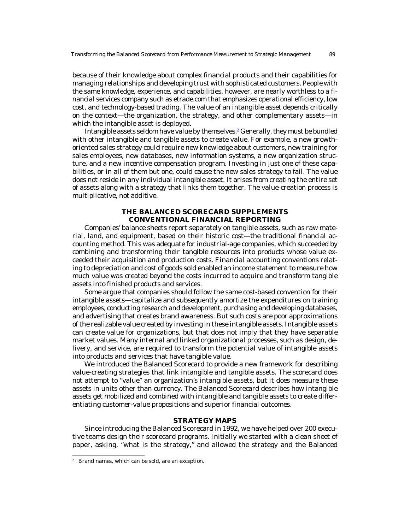because of their knowledge about complex financial products and their capabilities for managing relationships and developing trust with sophisticated customers. People with the same knowledge, experience, and capabilities, however, are nearly worthless to a financial services company such as etrade.com that emphasizes operational efficiency, low cost, and technology-based trading. The value of an intangible asset depends critically on the context—the organization, the strategy, and other complementary assets—in which the intangible asset is deployed.

Intangible assets seldom have value by themselves.2 Generally, they must be bundled with other intangible and tangible assets to create value. For example, a new growthoriented sales strategy could require new knowledge about customers, new training for sales employees, new databases, new information systems, a new organization structure, and a new incentive compensation program. Investing in just one of these capabilities, or in all of them but one, could cause the new sales strategy to fail. The value does not reside in any individual intangible asset. It arises from creating the entire set of assets along with a strategy that links them together. The value-creation process is multiplicative, not additive.

# **THE BALANCED SCORECARD SUPPLEMENTS CONVENTIONAL FINANCIAL REPORTING**

Companies' balance sheets report separately on tangible assets, such as raw material, land, and equipment, based on their historic cost—the traditional financial accounting method. This was adequate for industrial-age companies, which succeeded by combining and transforming their tangible resources into products whose value exceeded their acquisition and production costs. Financial accounting conventions relating to depreciation and cost of goods sold enabled an income statement to measure how much value was created beyond the costs incurred to acquire and transform tangible assets into finished products and services.

Some argue that companies should follow the same cost-based convention for their intangible assets—capitalize and subsequently amortize the expenditures on training employees, conducting research and development, purchasing and developing databases, and advertising that creates brand awareness. But such costs are poor approximations of the realizable value created by investing in these intangible assets. Intangible assets can create value for organizations, but that does not imply that they have separable market values. Many internal and linked organizational processes, such as design, delivery, and service, are required to transform the potential value of intangible assets into products and services that have tangible value.

We introduced the Balanced Scorecard to provide a new framework for describing value-creating strategies that link intangible and tangible assets. The scorecard does not attempt to "value" an organization's intangible assets, but it does measure these assets in units other than currency. The Balanced Scorecard describes how intangible assets get mobilized and combined with intangible and tangible assets to create differentiating customer-value propositions and superior financial outcomes.

# **STRATEGY MAPS**

Since introducing the Balanced Scorecard in 1992, we have helped over 200 executive teams design their scorecard programs. Initially we started with a clean sheet of paper, asking, "what is the strategy," and allowed the strategy and the Balanced

<sup>2</sup> Brand names, which can be sold, are an exception.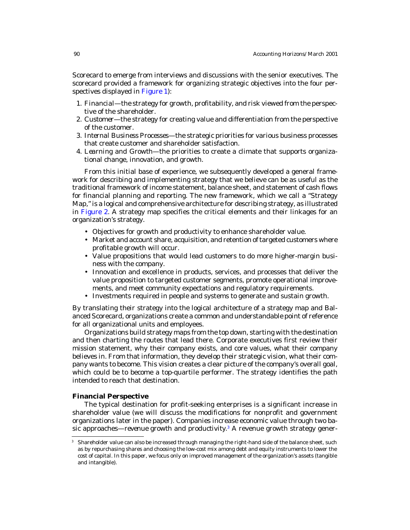Scorecard to emerge from interviews and discussions with the senior executives. The scorecard provided a framework for organizing strategic objectives into the four perspectives displayed in Figure 1):

- 1. *Financial*—the strategy for growth, profitability, and risk viewed from the perspective of the shareholder.
- 2. *Customer*—the strategy for creating value and differentiation from the perspective of the customer.
- 3. *Internal Business Processes*—the strategic priorities for various business processes that create customer and shareholder satisfaction.
- 4. *Learning and Growth*—the priorities to create a climate that supports organizational change, innovation, and growth.

From this initial base of experience, we subsequently developed a general framework for describing and implementing strategy that we believe can be as useful as the traditional framework of income statement, balance sheet, and statement of cash flows for financial planning and reporting. The new framework, which we call a "Strategy Map," is a logical and comprehensive architecture for describing strategy, as illustrated in Figure 2. A strategy map specifies the critical elements and their linkages for an organization's strategy.

- Objectives for growth and productivity to enhance shareholder value.
- Market and account share, acquisition, and retention of targeted customers where profitable growth will occur.
- Value propositions that would lead customers to do more higher-margin business with the company.
- Innovation and excellence in products, services, and processes that deliver the value proposition to targeted customer segments, promote operational improvements, and meet community expectations and regulatory requirements.
- Investments required in people and systems to generate and sustain growth.

By translating their strategy into the logical architecture of a strategy map and Balanced Scorecard, organizations create a common and understandable point of reference for all organizational units and employees.

Organizations build strategy maps from the top down, starting with the destination and then charting the routes that lead there. Corporate executives first review their mission statement, why their company exists, and core values, what their company believes in. From that information, they develop their strategic vision, what their company wants to become. This vision creates a clear picture of the company's overall goal, which could be to become a top-quartile performer. The strategy identifies the path intended to reach that destination.

# **Financial Perspective**

The typical destination for profit-seeking enterprises is a significant increase in shareholder value (we will discuss the modifications for nonprofit and government organizations later in the paper). Companies increase economic value through two basic approaches—*revenue growth* and *productivity*. 3 A revenue growth strategy gener-

<sup>&</sup>lt;sup>3</sup> Shareholder value can also be increased through managing the right-hand side of the balance sheet, such as by repurchasing shares and choosing the low-cost mix among debt and equity instruments to lower the cost of capital. In this paper, we focus only on improved management of the organization's assets (tangible and intangible).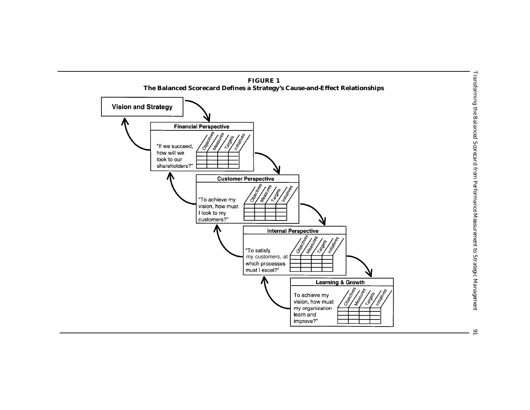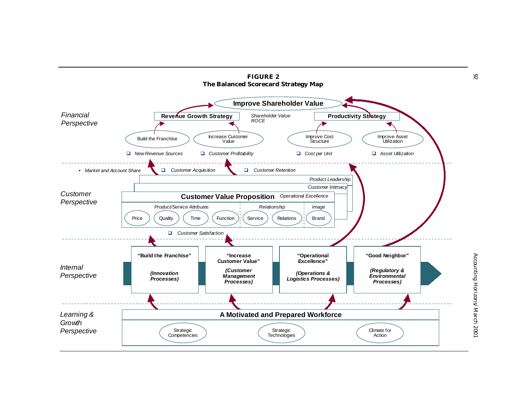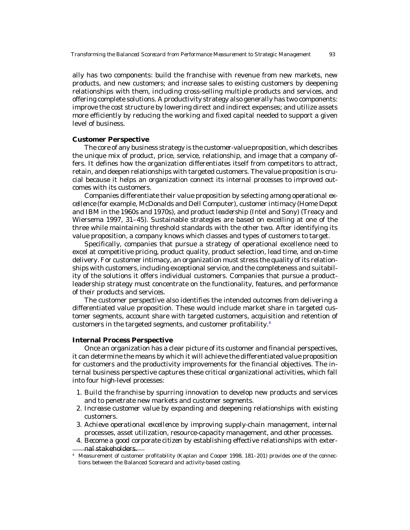ally has two components: build the franchise with revenue from new markets, new products, and new customers; and increase sales to existing customers by deepening relationships with them, including cross-selling multiple products and services, and offering complete solutions. A productivity strategy also generally has two components: improve the cost structure by lowering direct and indirect expenses; and utilize assets more efficiently by reducing the working and fixed capital needed to support a given level of business.

# **Customer Perspective**

The core of any business strategy is the *customer-value proposition*, which describes the unique mix of product, price, service, relationship, and image that a company offers. It defines how the organization differentiates itself from competitors to attract, retain, and deepen relationships with targeted customers. The value proposition is crucial because it helps an organization connect its internal processes to improved outcomes with its customers.

Companies differentiate their value proposition by selecting among *operational excellence* (for example, McDonalds and Dell Computer), *customer intimacy* (Home Depot and IBM in the 1960s and 1970s), and *product leadership* (Intel and Sony) (Treacy and Wiersema 1997, 31–45). Sustainable strategies are based on excelling at one of the three while maintaining threshold standards with the other two. After identifying its value proposition, a company knows which classes and types of customers to target.

Specifically, companies that pursue a strategy of operational excellence need to excel at competitive pricing, product quality, product selection, lead time, and on-time delivery. For customer intimacy, an organization must stress the quality of its relationships with customers, including exceptional service, and the completeness and suitability of the solutions it offers individual customers. Companies that pursue a productleadership strategy must concentrate on the functionality, features, and performance of their products and services.

The customer perspective also identifies the intended outcomes from delivering a differentiated value proposition. These would include market share in targeted customer segments, account share with targeted customers, acquisition and retention of customers in the targeted segments, and customer profitability.4

#### **Internal Process Perspective**

Once an organization has a clear picture of its customer and financial perspectives, it can determine the means by which it will achieve the differentiated value proposition for customers and the productivity improvements for the financial objectives. The internal business perspective captures these critical organizational activities, which fall into four high-level processes:

- 1. *Build the franchise* by spurring innovation to develop new products and services and to penetrate new markets and customer segments.
- 2. *Increase customer value* by expanding and deepening relationships with existing customers.
- 3. *Achieve operational excellence* by improving supply-chain management, internal processes, asset utilization, resource-capacity management, and other processes.
- 4. *Become a good corporate citizen* by establishing effective relationships with external stakeholders.

<sup>4</sup> Measurement of customer profitability (Kaplan and Cooper 1998, 181–201) provides one of the connections between the Balanced Scorecard and activity-based costing.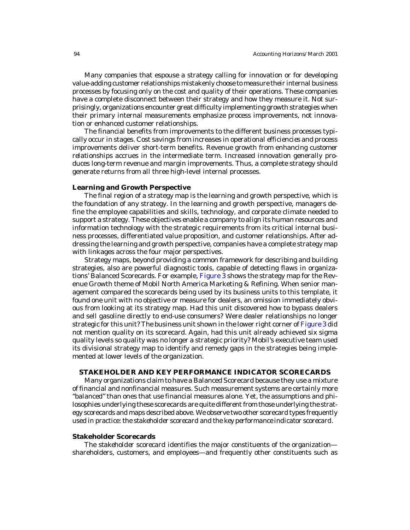Many companies that espouse a strategy calling for innovation or for developing value-adding customer relationships mistakenly choose to measure their internal business processes by focusing only on the cost and quality of their operations. These companies have a complete disconnect between their strategy and how they measure it. Not surprisingly, organizations encounter great difficulty implementing growth strategies when their primary internal measurements emphasize process improvements, not innovation or enhanced customer relationships.

The financial benefits from improvements to the different business processes typically occur in stages. Cost savings from increases in *operational efficiencies* and process improvements deliver short-term benefits. Revenue growth from enhancing *customer relationships* accrues in the intermediate term. Increased *innovation* generally produces long-term revenue and margin improvements. Thus, a complete strategy should generate returns from all three high-level internal processes.

#### **Learning and Growth Perspective**

The final region of a strategy map is the learning and growth perspective, which is the foundation of any strategy. In the learning and growth perspective, managers define the employee capabilities and skills, technology, and corporate climate needed to support a strategy. These objectives enable a company to align its human resources and information technology with the strategic requirements from its critical internal business processes, differentiated value proposition, and customer relationships. After addressing the learning and growth perspective, companies have a complete strategy map with linkages across the four major perspectives.

Strategy maps, beyond providing a common framework for describing and building strategies, also are powerful diagnostic tools, capable of detecting flaws in organizations' Balanced Scorecards. For example, Figure 3 shows the strategy map for the Revenue Growth theme of Mobil North America Marketing & Refining. When senior management compared the scorecards being used by its business units to this template, it found one unit with no objective or measure for dealers, an omission immediately obvious from looking at its strategy map. Had this unit discovered how to bypass dealers and sell gasoline directly to end-use consumers? Were dealer relationships no longer strategic for this unit? The business unit shown in the lower right corner of Figure 3 did not mention quality on its scorecard. Again, had this unit already achieved six sigma quality levels so quality was no longer a strategic priority? Mobil's executive team used its divisional strategy map to identify and remedy gaps in the strategies being implemented at lower levels of the organization.

# **STAKEHOLDER AND KEY PERFORMANCE INDICATOR SCORECARDS**

Many organizations claim to have a Balanced Scorecard because they use a mixture of financial and nonfinancial measures. Such measurement systems are certainly more "balanced" than ones that use financial measures alone. Yet, the assumptions and philosophies underlying these scorecards are quite different from those underlying the strategy scorecards and maps described above. We observe two other scorecard types frequently used in practice: the *stakeholder scorecard* and the *key performance indicator scorecard*.

#### **Stakeholder Scorecards**

The *stakeholder scorecard* identifies the major constituents of the organization shareholders, customers, and employees—and frequently other constituents such as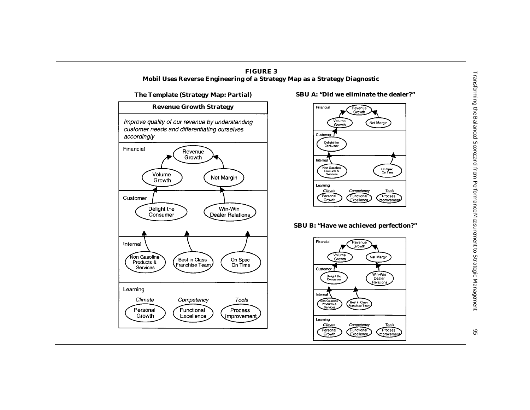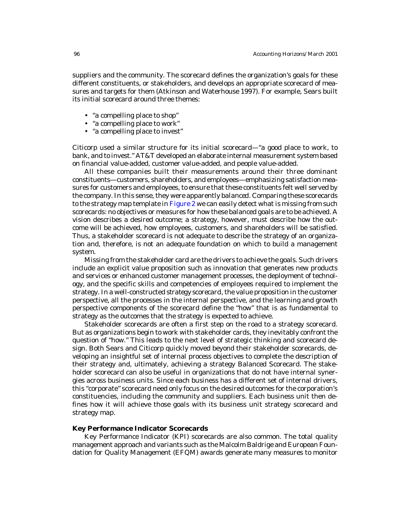suppliers and the community. The scorecard defines the organization's goals for these different constituents, or stakeholders, and develops an appropriate scorecard of measures and targets for them (Atkinson and Waterhouse 1997). For example, Sears built its initial scorecard around three themes:

- "a compelling place to shop"
- "a compelling place to work"
- "a compelling place to invest"

Citicorp used a similar structure for its initial scorecard—"a good place to work, to bank, and to invest." AT&T developed an elaborate internal measurement system based on financial value-added, customer value-added, and people value-added.

All these companies built their measurements around their three dominant constituents—customers, shareholders, and employees—emphasizing satisfaction measures for customers and employees, to ensure that these constituents felt well served by the company. In this sense, they were apparently *balanced*. Comparing these scorecards to the strategy map template in Figure 2 we can easily detect what is missing from such scorecards: no objectives or measures for *how* these balanced goals are to be achieved. A vision describes a desired outcome; a strategy, however, must describe *how* the outcome will be achieved, how employees, customers, and shareholders will be satisfied. Thus, a stakeholder scorecard is not adequate to describe the strategy of an organization and, therefore, is not an adequate foundation on which to build a management system.

Missing from the stakeholder card are the drivers to achieve the goals. Such drivers include an explicit value proposition such as innovation that generates new products and services or enhanced customer management processes, the deployment of technology, and the specific skills and competencies of employees required to implement the strategy. In a well-constructed *strategy scorecard*, the value proposition in the customer perspective, all the processes in the internal perspective, and the learning and growth perspective components of the scorecard define the "how" that is as fundamental to strategy as the outcomes that the strategy is expected to achieve.

Stakeholder scorecards are often a first step on the road to a strategy scorecard. But as organizations begin to work with stakeholder cards, they inevitably confront the question of "how." This leads to the next level of strategic thinking and scorecard design. Both Sears and Citicorp quickly moved beyond their stakeholder scorecards, developing an insightful set of internal process objectives to complete the description of their strategy and, ultimately, achieving a strategy Balanced Scorecard. The stakeholder scorecard can also be useful in organizations that do not have internal synergies across business units. Since each business has a different set of internal drivers, this "corporate" scorecard need only focus on the desired outcomes for the corporation's constituencies, including the community and suppliers. Each business unit then defines how it will achieve those goals with its business unit strategy scorecard and strategy map.

#### **Key Performance Indicator Scorecards**

Key Performance Indicator (KPI) scorecards are also common. The total quality management approach and variants such as the Malcolm Baldrige and European Foundation for Quality Management (EFQM) awards generate many measures to monitor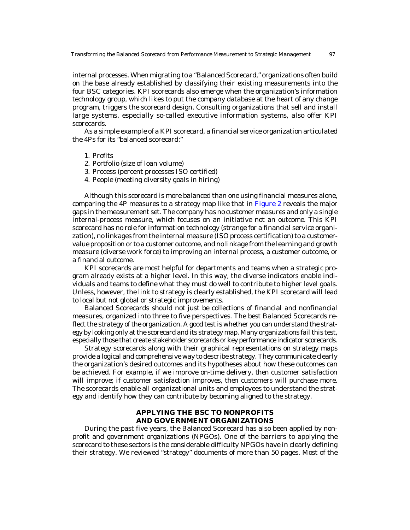internal processes. When migrating to a "Balanced Scorecard," organizations often build on the base already established by classifying their existing measurements into the four BSC categories. KPI scorecards also emerge when the organization's information technology group, which likes to put the company database at the heart of any change program, triggers the scorecard design. Consulting organizations that sell and install large systems, especially so-called executive information systems, also offer KPI scorecards.

As a simple example of a KPI scorecard, a financial service organization articulated the 4Ps for its "balanced scorecard:"

- 1. Profits
- 2. Portfolio (size of loan volume)
- 3. Process (percent processes ISO certified)
- 4. People (meeting diversity goals in hiring)

Although this scorecard is more balanced than one using financial measures alone, comparing the 4P measures to a strategy map like that in Figure 2 reveals the major gaps in the measurement set. The company has no customer measures and only a single internal-process measure, which focuses on an initiative not an outcome. This KPI scorecard has no role for information technology (strange for a financial service organization), no linkages from the internal measure (ISO process certification) to a customervalue proposition or to a customer outcome, and no linkage from the learning and growth measure (diverse work force) to improving an internal process, a customer outcome, or a financial outcome.

KPI scorecards are most helpful for departments and teams when a strategic program already exists at a higher level. In this way, the diverse indicators enable individuals and teams to define what they must do well to contribute to higher level goals. Unless, however, the link to strategy is clearly established, the KPI scorecard will lead to local but not global or strategic improvements.

Balanced Scorecards should not just be collections of financial and nonfinancial measures, organized into three to five perspectives. The best Balanced Scorecards reflect the strategy of the organization. A good test is whether you can understand the strategy by looking only at the scorecard and its strategy map. Many organizations fail this test, especially those that create stakeholder scorecards or key performance indicator scorecards.

Strategy scorecards along with their graphical representations on strategy maps provide a logical and comprehensive way to describe strategy. They communicate clearly the organization's desired outcomes and its hypotheses about how these outcomes can be achieved. For example, *if* we improve on-time delivery, *then* customer satisfaction will improve; *if* customer satisfaction improves, *then* customers will purchase more. The scorecards enable all organizational units and employees to understand the strategy and identify how they can contribute by becoming aligned to the strategy.

# **APPLYING THE BSC TO NONPROFITS AND GOVERNMENT ORGANIZATIONS**

During the past five years, the Balanced Scorecard has also been applied by nonprofit and government organizations (NPGOs). One of the barriers to applying the scorecard to these sectors is the considerable difficulty NPGOs have in clearly defining their strategy. We reviewed "strategy" documents of more than 50 pages. Most of the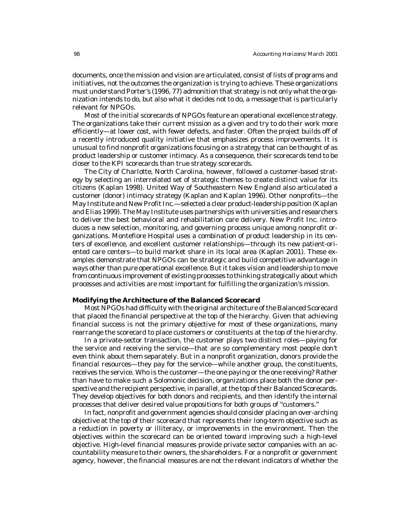documents, once the mission and vision are articulated, consist of lists of programs and initiatives, not the outcomes the organization is trying to achieve. These organizations must understand Porter's (1996, 77) admonition that strategy is not only what the organization intends to do, but also what it decides *not* to do, a message that is particularly relevant for NPGOs.

Most of the initial scorecards of NPGOs feature an operational excellence strategy. The organizations take their current mission as a given and try to do their work more efficiently—at lower cost, with fewer defects, and faster. Often the project builds off of a recently introduced quality initiative that emphasizes process improvements. It is unusual to find nonprofit organizations focusing on a strategy that can be thought of as product leadership or customer intimacy. As a consequence, their scorecards tend to be closer to the KPI scorecards than true strategy scorecards.

The City of Charlotte, North Carolina, however, followed a customer-based strategy by selecting an interrelated set of strategic themes to create distinct value for its citizens (Kaplan 1998). United Way of Southeastern New England also articulated a customer (donor) intimacy strategy (Kaplan and Kaplan 1996). Other nonprofits—the May Institute and New Profit Inc.—selected a clear product-leadership position (Kaplan and Elias 1999). The May Institute uses partnerships with universities and researchers to deliver the best behavioral and rehabilitation care delivery. New Profit Inc. introduces a new selection, monitoring, and governing process unique among nonprofit organizations. Montefiore Hospital uses a combination of product leadership in its centers of excellence, and excellent customer relationships—through its new patient-oriented care centers—to build market share in its local area (Kaplan 2001). These examples demonstrate that NPGOs can be strategic and build competitive advantage in ways other than pure operational excellence. But it takes vision and leadership to move from continuous improvement of existing processes to thinking strategically about which processes and activities are most important for fulfilling the organization's mission.

#### **Modifying the Architecture of the Balanced Scorecard**

Most NPGOs had difficulty with the original architecture of the Balanced Scorecard that placed the financial perspective at the top of the hierarchy. Given that achieving financial success is not the primary objective for most of these organizations, many rearrange the scorecard to place customers or constituents at the top of the hierarchy.

In a private-sector transaction, the customer plays two distinct roles—paying for the service and receiving the service—that are so complementary most people don't even think about them separately. But in a nonprofit organization, donors provide the financial resources—they pay for the service—while another group, the constituents, receives the service. Who is the customer—the one paying or the one receiving? Rather than have to make such a Solomonic decision, organizations place both the donor perspective and the recipient perspective, in parallel, at the top of their Balanced Scorecards. They develop objectives for both donors and recipients, and then identify the internal processes that deliver desired value propositions for both groups of "customers."

In fact, nonprofit and government agencies should consider placing an over-arching objective at the top of their scorecard that represents their long-term objective such as a reduction in poverty or illiteracy, or improvements in the environment. Then the objectives within the scorecard can be oriented toward improving such a high-level objective. High-level financial measures provide private sector companies with an accountability measure to their owners, the shareholders. For a nonprofit or government agency, however, the financial measures are not the relevant indicators of whether the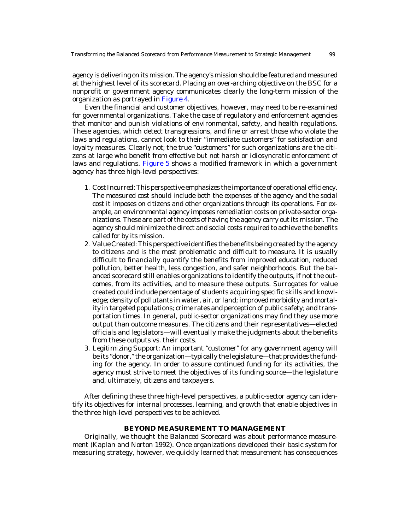agency is delivering on its mission. The agency's mission should be featured and measured at the highest level of its scorecard. Placing an over-arching objective on the BSC for a nonprofit or government agency communicates clearly the long-term mission of the organization as portrayed in Figure 4.

Even the financial and customer objectives, however, may need to be re-examined for governmental organizations. Take the case of regulatory and enforcement agencies that monitor and punish violations of environmental, safety, and health regulations. These agencies, which detect transgressions, and fine or arrest those who violate the laws and regulations, cannot look to their "immediate customers" for satisfaction and loyalty measures. Clearly not; the true "customers" for such organizations are the citizens at large who benefit from effective but not harsh or idiosyncratic enforcement of laws and regulations. Figure 5 shows a modified framework in which a government agency has three high-level perspectives:

- 1. *Cost Incurred*: This perspective emphasizes the importance of operational efficiency. The measured cost should include both the expenses of the agency and the social cost it imposes on citizens and other organizations through its operations. For example, an environmental agency imposes remediation costs on private-sector organizations. These are part of the costs of having the agency carry out its mission. The agency should minimize the direct and social costs required to achieve the benefits called for by its mission.
- 2. *Value Created*: This perspective identifies the benefits being created by the agency to citizens and is the most problematic and difficult to measure. It is usually difficult to financially quantify the benefits from improved education, reduced pollution, better health, less congestion, and safer neighborhoods. But the balanced scorecard still enables organizations to identify the outputs, if not the outcomes, from its activities, and to measure these outputs. Surrogates for value created could include percentage of students acquiring specific skills and knowledge; density of pollutants in water, air, or land; improved morbidity and mortality in targeted populations; crime rates and perception of public safety; and transportation times. In general, public-sector organizations may find they use more output than outcome measures. The citizens and their representatives—elected officials and legislators—will eventually make the judgments about the benefits from these outputs vs. their costs.
- 3. *Legitimizing Support:* An important "customer" for any government agency will be its "donor," the organization—typically the legislature—that provides the funding for the agency. In order to assure continued funding for its activities, the agency must strive to meet the objectives of its funding source—the legislature and, ultimately, citizens and taxpayers.

After defining these three high-level perspectives, a public-sector agency can identify its objectives for internal processes, learning, and growth that enable objectives in the three high-level perspectives to be achieved.

# **BEYOND MEASUREMENT TO MANAGEMENT**

Originally, we thought the Balanced Scorecard was about performance measurement (Kaplan and Norton 1992). Once organizations developed their basic system for measuring strategy, however, we quickly learned that *measurement* has consequences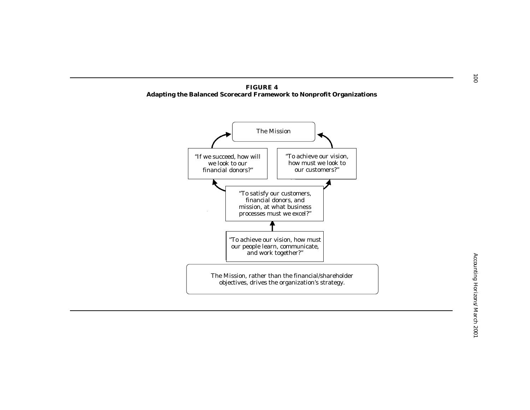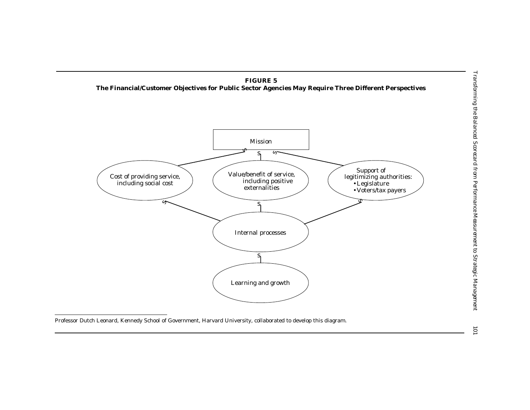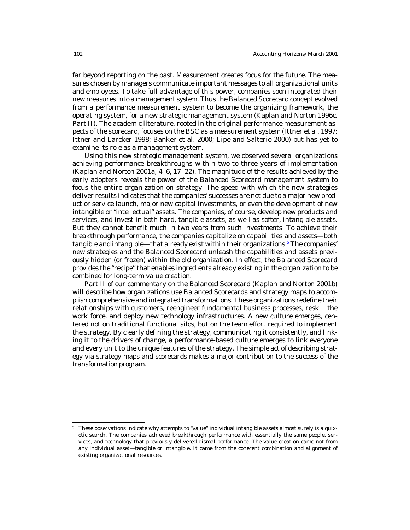far beyond reporting on the past. Measurement creates focus for the future. The measures chosen by managers communicate important messages to all organizational units and employees. To take full advantage of this power, companies soon integrated their new measures into a *management system*. Thus the Balanced Scorecard concept evolved from a performance measurement system to become the organizing framework, the operating system, for a new strategic management system (Kaplan and Norton 1996c, Part II). The academic literature, rooted in the original performance measurement aspects of the scorecard, focuses on the BSC as a measurement system (Ittner et al. 1997; Ittner and Larcker 1998; Banker et al. 2000; Lipe and Salterio 2000) but has yet to examine its role as a management system.

Using this new strategic management system, we observed several organizations achieving performance breakthroughs within two to three years of implementation (Kaplan and Norton 2001a, 4–6, 17–22). The magnitude of the results achieved by the early adopters reveals the power of the Balanced Scorecard management system to focus the entire organization on strategy. The speed with which the new strategies deliver results indicates that the companies' successes are not due to a major new product or service launch, major new capital investments, or even the development of new intangible or "intellectual" assets. The companies, of course, develop new products and services, and invest in both hard, tangible assets, as well as softer, intangible assets. But they cannot benefit much in two years from such investments. To achieve their breakthrough performance, the companies capitalize on capabilities and assets—both tangible and intangible—that already exist within their organizations.<sup>5</sup> The companies' new strategies and the Balanced Scorecard unleash the capabilities and assets previously hidden (or frozen) within the old organization. In effect, the Balanced Scorecard provides the "recipe" that enables ingredients already existing in the organization to be combined for long-term value creation.

Part II of our commentary on the Balanced Scorecard (Kaplan and Norton 2001b) will describe how organizations use Balanced Scorecards and strategy maps to accomplish comprehensive and integrated transformations. These organizations redefine their relationships with customers, reengineer fundamental business processes, reskill the work force, and deploy new technology infrastructures. A new culture emerges, centered not on traditional functional silos, but on the team effort required to implement the strategy. By clearly defining the strategy, communicating it consistently, and linking it to the drivers of change, a performance-based culture emerges to link everyone and every unit to the unique features of the strategy. The simple act of describing strategy via strategy maps and scorecards makes a major contribution to the success of the transformation program.

<sup>&</sup>lt;sup>5</sup> These observations indicate why attempts to "value" individual intangible assets almost surely is a quixotic search. The companies achieved breakthrough performance with essentially the same people, services, and technology that previously delivered dismal performance. The value creation came not from any individual asset—tangible or intangible. It came from the coherent combination and alignment of existing organizational resources.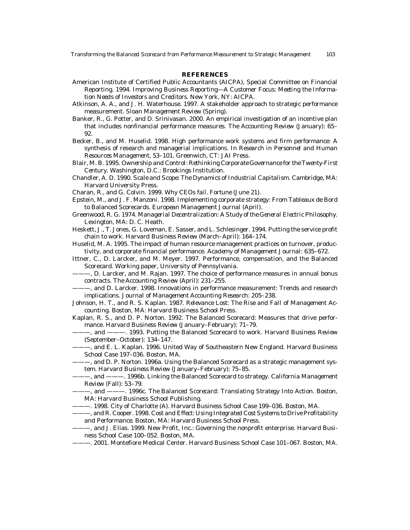#### **REFERENCES**

- American Institute of Certified Public Accountants (AICPA), Special Committee on Financial Reporting. 1994. *Improving Business Reporting—A Customer Focus: Meeting the Information Needs of Investors and Creditors*. New York, NY: AICPA.
- Atkinson, A. A., and J. H. Waterhouse. 1997. A stakeholder approach to strategic performance measurement. *Sloan Management Review* (Spring).
- Banker, R., G. Potter, and D. Srinivasan. 2000. An empirical investigation of an incentive plan that includes nonfinancial performance measures. *The Accounting Review* (January): 65– 92.
- Becker, B., and M. Huselid. 1998. High performance work systems and firm performance: A synthesis of research and managerial implications. In *Research in Personnel and Human Resources Management*, 53–101. Greenwich, CT: JAI Press.
- Blair, M. B. 1995. *Ownership and Control: Rethinking Corporate Governance for the Twenty-First Century*. Washington, D.C.: Brookings Institution.
- Chandler, A. D. 1990. *Scale and Scope: The Dynamics of Industrial Capitalism*. Cambridge, MA: Harvard University Press.
- Charan, R., and G. Colvin. 1999. Why CEOs fail. *Fortune* (June 21).
- Epstein, M., and J. F. Manzoni. 1998. Implementing corporate strategy: From Tableaux de Bord to Balanced Scorecards. *European Management Journal* (April).
- Greenwood, R. G. 1974. *Managerial Decentralization: A Study of the General Electric Philosophy*. Lexington, MA: D. C. Heath.
- Heskett, J., T. Jones, G. Loveman, E. Sasser, and L. Schlesinger. 1994. Putting the service profit chain to work. *Harvard Business Review* (March–April): 164–174.
- Huselid, M. A. 1995. The impact of human resource management practices on turnover, productivity, and corporate financial performance. *Academy of Management Journal*: 635–672.
- Ittner, C., D. Larcker, and M. Meyer. 1997. Performance, compensation, and the Balanced Scorecard. Working paper, University of Pennsylvania.
- ———, D. Larcker, and M. Rajan. 1997. The choice of performance measures in annual bonus contracts. *The Accounting Review* (April): 231–255.
- ———, and D. Larcker. 1998. Innovations in performance measurement: Trends and research implications. *Journal of Management Accounting Research*: 205–238.
- Johnson, H. T., and R. S. Kaplan. 1987. *Relevance Lost: The Rise and Fall of Management Accounting*. Boston, MA: Harvard Business School Press.
- Kaplan, R. S., and D. P. Norton. 1992. The Balanced Scorecard: Measures that drive performance. *Harvard Business Review* (January–February): 71–79.
- ———, and ———. 1993. Putting the Balanced Scorecard to work. *Harvard Business Review* (September–October): 134–147.
- ———, and E. L. Kaplan. 1996. United Way of Southeastern New England. Harvard Business School Case 197–036. Boston, MA.
- ———, and D. P. Norton. 1996a. Using the Balanced Scorecard as a strategic management system. *Harvard Business Review* (January–February): 75–85.
- ———, and ———. 1996b. Linking the Balanced Scorecard to strategy. *California Management Review* (Fall): 53–79.
- ———, and ———. 1996c. *The Balanced Scorecard: Translating Strategy Into Action*. Boston, MA: Harvard Business School Publishing.
- ———. 1998. City of Charlotte (A). Harvard Business School Case 199–036. Boston, MA.
- ———, and R. Cooper. 1998. *Cost and Effect: Using Integrated Cost Systems to Drive Profitability and Performance*. Boston, MA: Harvard Business School Press.
- ———, and J. Elias. 1999. New Profit, Inc.: Governing the nonprofit enterprise. Harvard Business School Case 100–052. Boston, MA.
- ———. 2001. Montefiore Medical Center. Harvard Business School Case 101–067. Boston, MA.